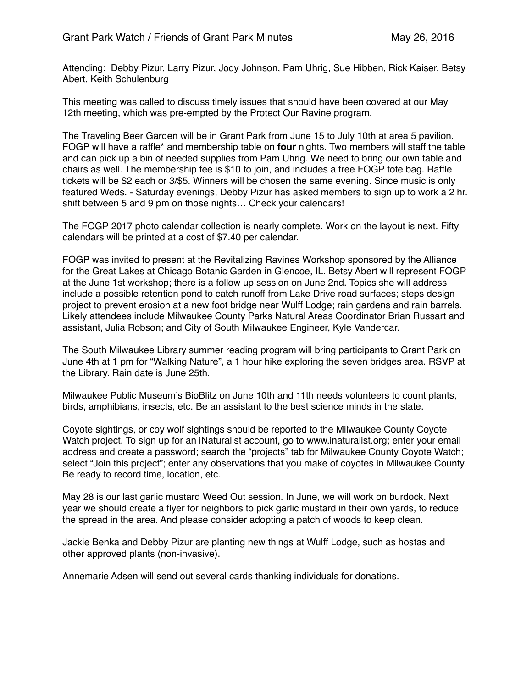Attending: Debby Pizur, Larry Pizur, Jody Johnson, Pam Uhrig, Sue Hibben, Rick Kaiser, Betsy Abert, Keith Schulenburg

This meeting was called to discuss timely issues that should have been covered at our May 12th meeting, which was pre-empted by the Protect Our Ravine program.

The Traveling Beer Garden will be in Grant Park from June 15 to July 10th at area 5 pavilion. FOGP will have a raffle\* and membership table on **four** nights. Two members will staff the table and can pick up a bin of needed supplies from Pam Uhrig. We need to bring our own table and chairs as well. The membership fee is \$10 to join, and includes a free FOGP tote bag. Raffle tickets will be \$2 each or 3/\$5. Winners will be chosen the same evening. Since music is only featured Weds. - Saturday evenings, Debby Pizur has asked members to sign up to work a 2 hr. shift between 5 and 9 pm on those nights… Check your calendars!

The FOGP 2017 photo calendar collection is nearly complete. Work on the layout is next. Fifty calendars will be printed at a cost of \$7.40 per calendar.

FOGP was invited to present at the Revitalizing Ravines Workshop sponsored by the Alliance for the Great Lakes at Chicago Botanic Garden in Glencoe, IL. Betsy Abert will represent FOGP at the June 1st workshop; there is a follow up session on June 2nd. Topics she will address include a possible retention pond to catch runoff from Lake Drive road surfaces; steps design project to prevent erosion at a new foot bridge near Wulff Lodge; rain gardens and rain barrels. Likely attendees include Milwaukee County Parks Natural Areas Coordinator Brian Russart and assistant, Julia Robson; and City of South Milwaukee Engineer, Kyle Vandercar.

The South Milwaukee Library summer reading program will bring participants to Grant Park on June 4th at 1 pm for "Walking Nature", a 1 hour hike exploring the seven bridges area. RSVP at the Library. Rain date is June 25th.

Milwaukee Public Museum's BioBlitz on June 10th and 11th needs volunteers to count plants, birds, amphibians, insects, etc. Be an assistant to the best science minds in the state.

Coyote sightings, or coy wolf sightings should be reported to the Milwaukee County Coyote Watch project. To sign up for an iNaturalist account, go to www.inaturalist.org; enter your email address and create a password; search the "projects" tab for Milwaukee County Coyote Watch; select "Join this project"; enter any observations that you make of coyotes in Milwaukee County. Be ready to record time, location, etc.

May 28 is our last garlic mustard Weed Out session. In June, we will work on burdock. Next year we should create a flyer for neighbors to pick garlic mustard in their own yards, to reduce the spread in the area. And please consider adopting a patch of woods to keep clean.

Jackie Benka and Debby Pizur are planting new things at Wulff Lodge, such as hostas and other approved plants (non-invasive).

Annemarie Adsen will send out several cards thanking individuals for donations.